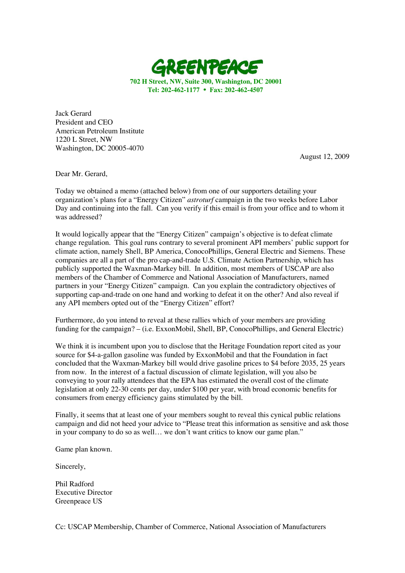

**702 H Street, NW, Suite 300, Washington, DC 20001 Tel: 202-462-1177** • **Fax: 202-462-4507**

Jack Gerard President and CEO American Petroleum Institute 1220 L Street, NW Washington, DC 20005-4070

August 12, 2009

Dear Mr. Gerard,

Today we obtained a memo (attached below) from one of our supporters detailing your organization's plans for a "Energy Citizen" *astroturf* campaign in the two weeks before Labor Day and continuing into the fall. Can you verify if this email is from your office and to whom it was addressed?

It would logically appear that the "Energy Citizen" campaign's objective is to defeat climate change regulation. This goal runs contrary to several prominent API members' public support for climate action, namely Shell, BP America, ConocoPhillips, General Electric and Siemens. These companies are all a part of the pro cap-and-trade U.S. Climate Action Partnership, which has publicly supported the Waxman-Markey bill. In addition, most members of USCAP are also members of the Chamber of Commerce and National Association of Manufacturers, named partners in your "Energy Citizen" campaign. Can you explain the contradictory objectives of supporting cap-and-trade on one hand and working to defeat it on the other? And also reveal if any API members opted out of the "Energy Citizen" effort?

Furthermore, do you intend to reveal at these rallies which of your members are providing funding for the campaign? – (i.e. ExxonMobil, Shell, BP, ConocoPhillips, and General Electric)

We think it is incumbent upon you to disclose that the Heritage Foundation report cited as your source for \$4-a-gallon gasoline was funded by ExxonMobil and that the Foundation in fact concluded that the Waxman-Markey bill would drive gasoline prices to \$4 before 2035, 25 years from now. In the interest of a factual discussion of climate legislation, will you also be conveying to your rally attendees that the EPA has estimated the overall cost of the climate legislation at only 22-30 cents per day, under \$100 per year, with broad economic benefits for consumers from energy efficiency gains stimulated by the bill.

Finally, it seems that at least one of your members sought to reveal this cynical public relations campaign and did not heed your advice to "Please treat this information as sensitive and ask those in your company to do so as well… we don't want critics to know our game plan."

Game plan known.

Sincerely,

Phil Radford Executive Director Greenpeace US

Cc: USCAP Membership, Chamber of Commerce, National Association of Manufacturers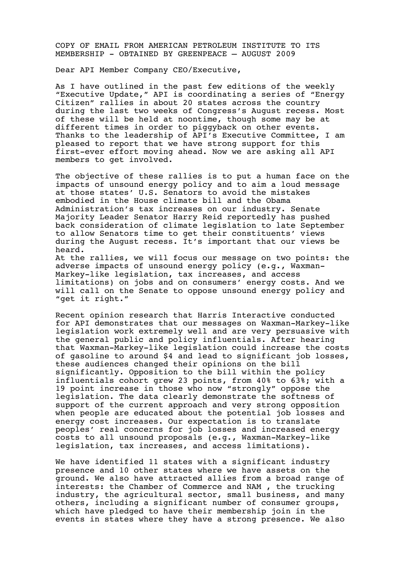COPY OF EMAIL FROM AMERICAN PETROLEUM INSTITUTE TO ITS MEMBERSHIP - OBTAINED BY GREENPEACE – AUGUST 2009

Dear API Member Company CEO/Executive,

As I have outlined in the past few editions of the weekly "Executive Update," API is coordinating a series of "Energy Citizen" rallies in about 20 states across the country during the last two weeks of Congress's August recess. Most of these will be held at noontime, though some may be at different times in order to piggyback on other events. Thanks to the leadership of API's Executive Committee, I am pleased to report that we have strong support for this first-ever effort moving ahead. Now we are asking all API members to get involved.

The objective of these rallies is to put a human face on the impacts of unsound energy policy and to aim a loud message at those states' U.S. Senators to avoid the mistakes embodied in the House climate bill and the Obama Administration's tax increases on our industry. Senate Majority Leader Senator Harry Reid reportedly has pushed back consideration of climate legislation to late September to allow Senators time to get their constituents' views during the August recess. It's important that our views be heard. At the rallies, we will focus our message on two points: the adverse impacts of unsound energy policy (e.g., Waxman-Markey-like legislation, tax increases, and access limitations) on jobs and on consumers' energy costs. And we will call on the Senate to oppose unsound energy policy and

"get it right."

Recent opinion research that Harris Interactive conducted for API demonstrates that our messages on Waxman-Markey-like legislation work extremely well and are very persuasive with the general public and policy influentials. After hearing that Waxman-Markey-like legislation could increase the costs of gasoline to around \$4 and lead to significant job losses, these audiences changed their opinions on the bill significantly. Opposition to the bill within the policy influentials cohort grew 23 points, from 40% to 63%; with a 19 point increase in those who now "strongly" oppose the legislation. The data clearly demonstrate the softness of support of the current approach and very strong opposition when people are educated about the potential job losses and energy cost increases. Our expectation is to translate peoples' real concerns for job losses and increased energy costs to all unsound proposals (e.g., Waxman-Markey-like legislation, tax increases, and access limitations).

We have identified 11 states with a significant industry presence and 10 other states where we have assets on the ground. We also have attracted allies from a broad range of interests: the Chamber of Commerce and NAM , the trucking industry, the agricultural sector, small business, and many others, including a significant number of consumer groups, which have pledged to have their membership join in the events in states where they have a strong presence. We also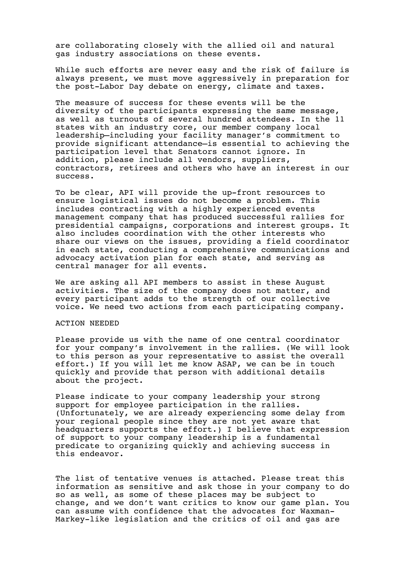are collaborating closely with the allied oil and natural gas industry associations on these events.

While such efforts are never easy and the risk of failure is always present, we must move aggressively in preparation for the post-Labor Day debate on energy, climate and taxes.

The measure of success for these events will be the diversity of the participants expressing the same message, as well as turnouts of several hundred attendees. In the 11 states with an industry core, our member company local leadership—including your facility manager's commitment to provide significant attendance—is essential to achieving the participation level that Senators cannot ignore. In addition, please include all vendors, suppliers, contractors, retirees and others who have an interest in our success.

To be clear, API will provide the up-front resources to ensure logistical issues do not become a problem. This includes contracting with a highly experienced events management company that has produced successful rallies for presidential campaigns, corporations and interest groups. It also includes coordination with the other interests who share our views on the issues, providing a field coordinator in each state, conducting a comprehensive communications and advocacy activation plan for each state, and serving as central manager for all events.

We are asking all API members to assist in these August activities. The size of the company does not matter, and every participant adds to the strength of our collective voice. We need two actions from each participating company.

## ACTION NEEDED

Please provide us with the name of one central coordinator for your company's involvement in the rallies. (We will look to this person as your representative to assist the overall effort.) If you will let me know ASAP, we can be in touch quickly and provide that person with additional details about the project.

Please indicate to your company leadership your strong support for employee participation in the rallies. (Unfortunately, we are already experiencing some delay from your regional people since they are not yet aware that headquarters supports the effort.) I believe that expression of support to your company leadership is a fundamental predicate to organizing quickly and achieving success in this endeavor.

The list of tentative venues is attached. Please treat this information as sensitive and ask those in your company to do so as well, as some of these places may be subject to change, and we don't want critics to know our game plan. You can assume with confidence that the advocates for Waxman- Markey-like legislation and the critics of oil and gas are